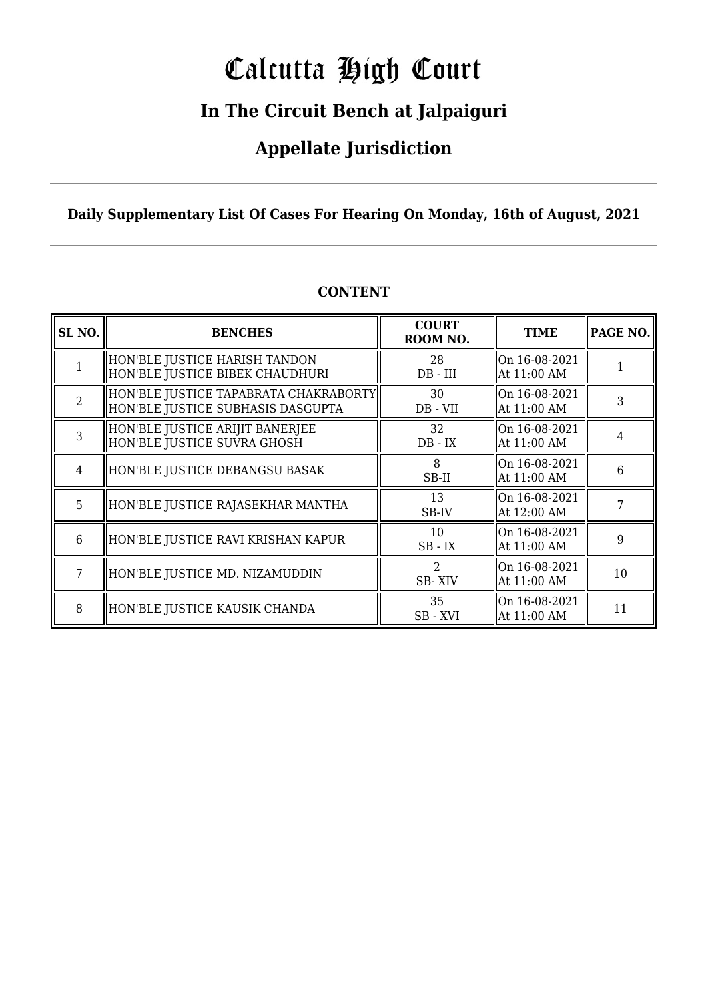# Calcutta High Court

## **In The Circuit Bench at Jalpaiguri**

### **Appellate Jurisdiction**

### **Daily Supplementary List Of Cases For Hearing On Monday, 16th of August, 2021**

| SL <sub>NO.</sub> | <b>BENCHES</b>                                                             | <b>COURT</b><br>ROOM NO. | <b>TIME</b>                  | PAGE NO. |
|-------------------|----------------------------------------------------------------------------|--------------------------|------------------------------|----------|
|                   | HON'BLE JUSTICE HARISH TANDON<br>HON'BLE JUSTICE BIBEK CHAUDHURI           | 28<br>$DB$ - $III$       | On 16-08-2021<br>At 11:00 AM |          |
| $\overline{2}$    | HON'BLE JUSTICE TAPABRATA CHAKRABORTY<br>HON'BLE JUSTICE SUBHASIS DASGUPTA | 30<br>DB - VII           | On 16-08-2021<br>At 11:00 AM | 3        |
| 3                 | HON'BLE JUSTICE ARIJIT BANERJEE<br>HON'BLE JUSTICE SUVRA GHOSH             | 32<br>$DB$ - $IX$        | On 16-08-2021<br>At 11:00 AM | 4        |
| 4                 | HON'BLE JUSTICE DEBANGSU BASAK                                             | 8<br>SB-II               | On 16-08-2021<br>At 11:00 AM | 6        |
| 5                 | HON'BLE JUSTICE RAJASEKHAR MANTHA                                          | 13<br>SB-IV              | On 16-08-2021<br>At 12:00 AM |          |
| 6                 | HON'BLE JUSTICE RAVI KRISHAN KAPUR                                         | 10<br>$SB$ - $IX$        | On 16-08-2021<br>At 11:00 AM | 9        |
| 7                 | HON'BLE JUSTICE MD. NIZAMUDDIN                                             | $\mathcal{L}$<br>SB-XIV  | On 16-08-2021<br>At 11:00 AM | 10       |
| 8                 | HON'BLE JUSTICE KAUSIK CHANDA                                              | 35<br>SB-XVI             | On 16-08-2021<br>At 11:00 AM | 11       |

### **CONTENT**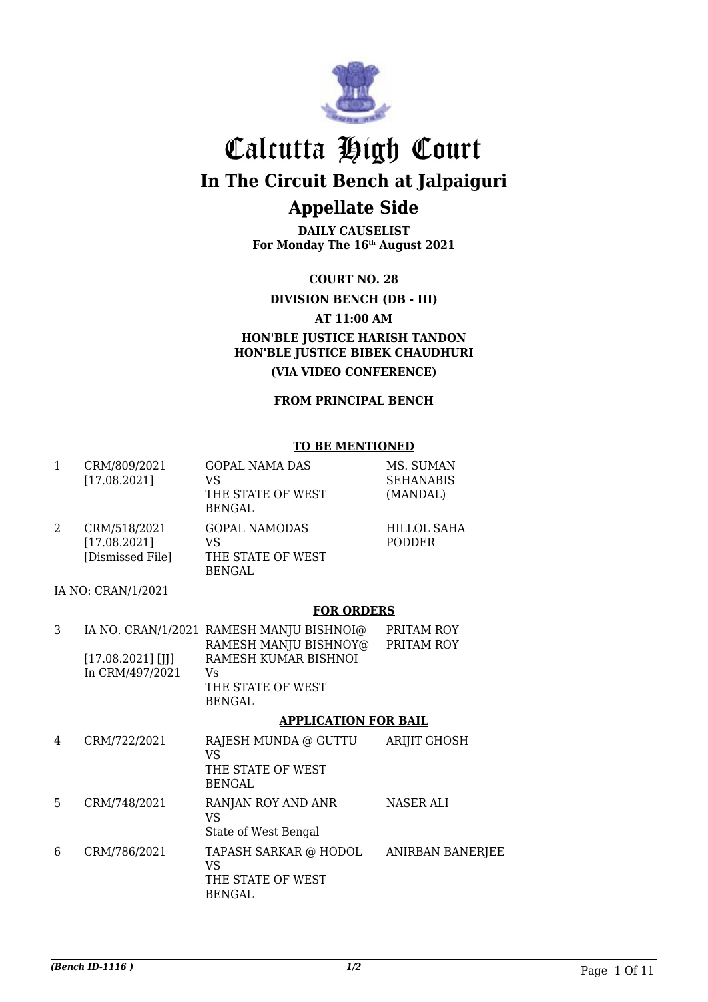

**DAILY CAUSELIST For Monday The 16th August 2021**

**COURT NO. 28**

**DIVISION BENCH (DB - III)**

**AT 11:00 AM**

**HON'BLE JUSTICE HARISH TANDON HON'BLE JUSTICE BIBEK CHAUDHURI**

**(VIA VIDEO CONFERENCE)**

**FROM PRINCIPAL BENCH**

#### **TO BE MENTIONED**

| 1              | CRM/809/2021<br>[17.08.2021]                     | <b>GOPAL NAMA DAS</b><br><b>VS</b><br>THE STATE OF WEST<br><b>BENGAL</b> | MS. SUMAN<br><b>SEHANABIS</b><br>(MANDAL) |
|----------------|--------------------------------------------------|--------------------------------------------------------------------------|-------------------------------------------|
| $\overline{2}$ | CRM/518/2021<br>[17.08.2021]<br>[Dismissed File] | <b>GOPAL NAMODAS</b><br><b>VS</b><br>THE STATE OF WEST<br><b>BENGAL</b>  | <b>HILLOL SAHA</b><br><b>PODDER</b>       |
|                | IA NO: CRAN/1/2021                               |                                                                          |                                           |
|                |                                                  | <b>FOR ORDERS</b>                                                        |                                           |
| 3              |                                                  | IA NO. CRAN/1/2021 RAMESH MANJU BISHNOI@<br>RAMESH MANJU BISHNOY@        | PRITAM ROY<br>PRITAM ROY                  |
|                | $[17.08.2021]$ [II]                              | RAMESH KUMAR BISHNOI                                                     |                                           |
|                | In CRM/497/2021                                  | Vs<br>THE STATE OF WEST<br><b>BENGAL</b>                                 |                                           |
|                |                                                  | <b>APPLICATION FOR BAIL</b>                                              |                                           |
| 4              | CRM/722/2021                                     | RAJESH MUNDA @ GUTTU<br><b>VS</b><br>THE STATE OF WEST<br><b>BENGAL</b>  | <b>ARIJIT GHOSH</b>                       |
| 5              | CRM/748/2021                                     | RANJAN ROY AND ANR<br><b>VS</b><br>State of West Bengal                  | <b>NASER ALI</b>                          |
| 6              | CRM/786/2021                                     | TAPASH SARKAR @ HODOL<br><b>VS</b><br>THE STATE OF WEST<br><b>BENGAL</b> | <b>ANIRBAN BANERJEE</b>                   |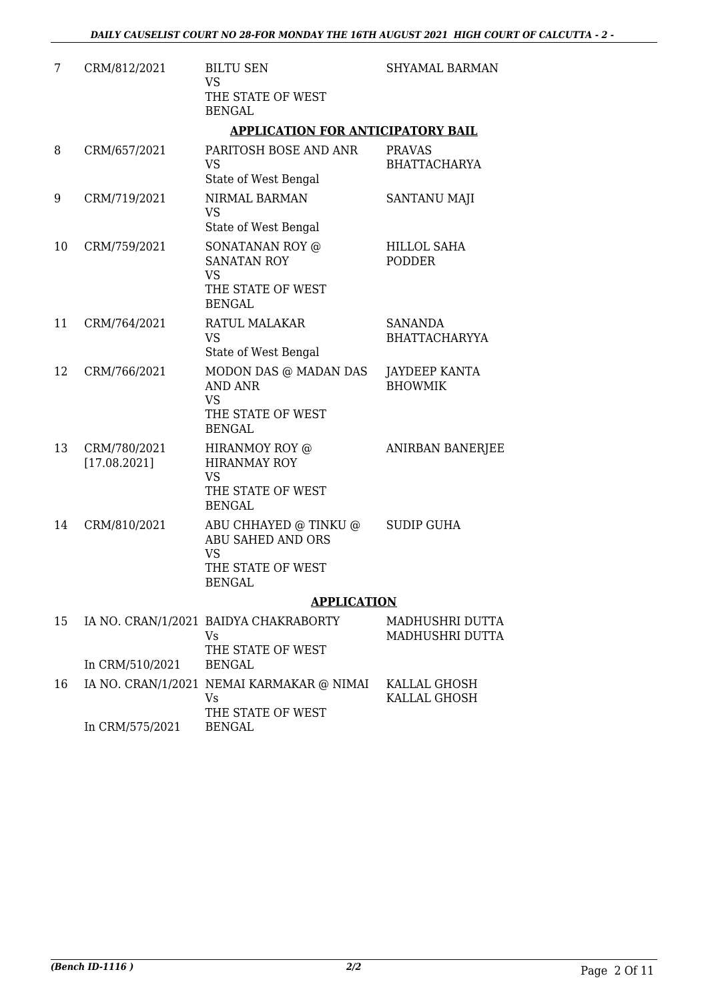| 7  | CRM/812/2021                 | <b>BILTU SEN</b><br><b>VS</b><br>THE STATE OF WEST<br><b>BENGAL</b>                                  | <b>SHYAMAL BARMAN</b>                  |
|----|------------------------------|------------------------------------------------------------------------------------------------------|----------------------------------------|
|    |                              | <b>APPLICATION FOR ANTICIPATORY BAIL</b>                                                             |                                        |
| 8  | CRM/657/2021                 | PARITOSH BOSE AND ANR<br>VS<br>State of West Bengal                                                  | <b>PRAVAS</b><br><b>BHATTACHARYA</b>   |
| 9  | CRM/719/2021                 | NIRMAL BARMAN<br><b>VS</b><br>State of West Bengal                                                   | SANTANU MAJI                           |
| 10 | CRM/759/2021                 | SONATANAN ROY @<br><b>SANATAN ROY</b><br><b>VS</b><br>THE STATE OF WEST<br><b>BENGAL</b>             | HILLOL SAHA<br><b>PODDER</b>           |
| 11 | CRM/764/2021                 | RATUL MALAKAR<br><b>VS</b><br>State of West Bengal                                                   | <b>SANANDA</b><br><b>BHATTACHARYYA</b> |
| 12 | CRM/766/2021                 | MODON DAS @ MADAN DAS<br><b>AND ANR</b><br><b>VS</b><br>THE STATE OF WEST<br><b>BENGAL</b>           | JAYDEEP KANTA<br><b>BHOWMIK</b>        |
| 13 | CRM/780/2021<br>[17.08.2021] | HIRANMOY ROY @<br><b>HIRANMAY ROY</b><br><b>VS</b><br>THE STATE OF WEST<br><b>BENGAL</b>             | <b>ANIRBAN BANERJEE</b>                |
| 14 | CRM/810/2021                 | ABU CHHAYED @ TINKU @<br><b>ABU SAHED AND ORS</b><br><b>VS</b><br>THE STATE OF WEST<br><b>BENGAL</b> | <b>SUDIP GUHA</b>                      |
|    |                              | <b>APPLICATION</b>                                                                                   |                                        |
| 15 | In CRM/510/2021              | IA NO. CRAN/1/2021 BAIDYA CHAKRABORTY<br>Vs<br>THE STATE OF WEST<br><b>BENGAL</b>                    | MADHUSHRI DUTTA<br>MADHUSHRI DUTTA     |
| 16 |                              | IA NO. CRAN/1/2021 NEMAI KARMAKAR @ NIMAI<br>Vs<br>THE STATE OF WEST                                 | KALLAL GHOSH<br>KALLAL GHOSH           |

In CRM/575/2021

BENGAL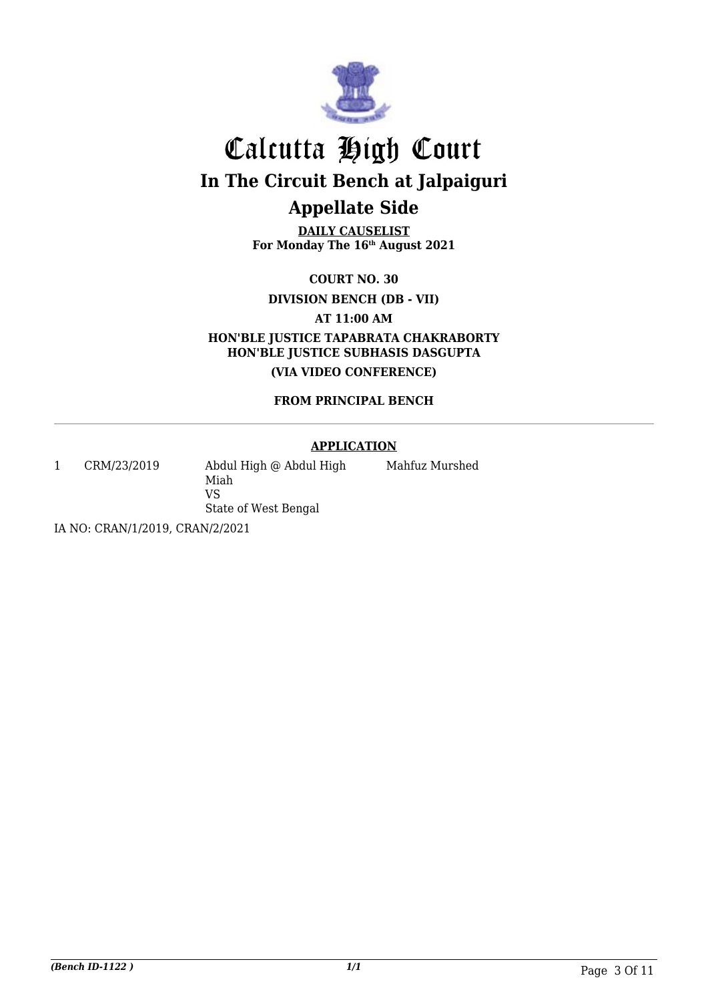

**DAILY CAUSELIST For Monday The 16th August 2021**

**COURT NO. 30**

**DIVISION BENCH (DB - VII)**

**AT 11:00 AM**

**HON'BLE JUSTICE TAPABRATA CHAKRABORTY HON'BLE JUSTICE SUBHASIS DASGUPTA**

**(VIA VIDEO CONFERENCE)**

### **FROM PRINCIPAL BENCH**

### **APPLICATION**

1 CRM/23/2019 Abdul High @ Abdul High Miah VS State of West Bengal

Mahfuz Murshed

IA NO: CRAN/1/2019, CRAN/2/2021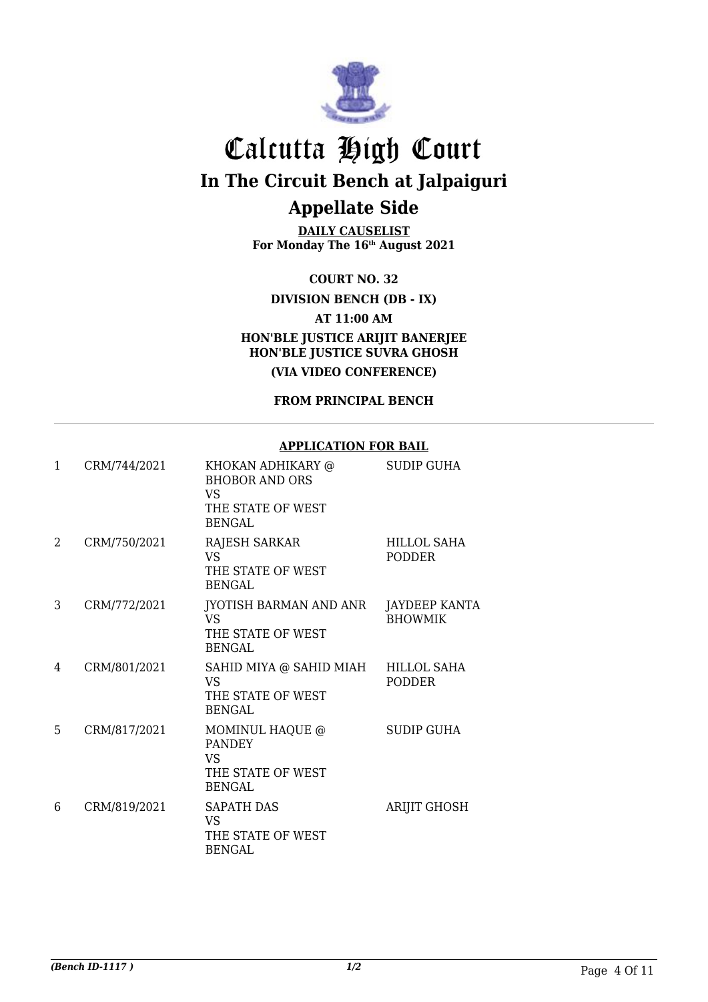

**DAILY CAUSELIST For Monday The 16th August 2021**

**COURT NO. 32**

**DIVISION BENCH (DB - IX)**

**AT 11:00 AM**

**HON'BLE JUSTICE ARIJIT BANERJEE HON'BLE JUSTICE SUVRA GHOSH**

**(VIA VIDEO CONFERENCE)**

**FROM PRINCIPAL BENCH**

#### **APPLICATION FOR BAIL**

| 1 | CRM/744/2021 | KHOKAN ADHIKARY @<br><b>BHOBOR AND ORS</b><br>VS<br>THE STATE OF WEST<br><b>BENGAL</b> | <b>SUDIP GUHA</b>                      |
|---|--------------|----------------------------------------------------------------------------------------|----------------------------------------|
| 2 | CRM/750/2021 | <b>RAJESH SARKAR</b><br><b>VS</b><br>THE STATE OF WEST<br>BENGAL                       | <b>HILLOL SAHA</b><br><b>PODDER</b>    |
| 3 | CRM/772/2021 | JYOTISH BARMAN AND ANR<br>VS<br>THE STATE OF WEST<br><b>BENGAL</b>                     | <b>JAYDEEP KANTA</b><br><b>BHOWMIK</b> |
| 4 | CRM/801/2021 | SAHID MIYA @ SAHID MIAH HILLOL SAHA<br><b>VS</b><br>THE STATE OF WEST<br><b>BENGAL</b> | <b>PODDER</b>                          |
| 5 | CRM/817/2021 | MOMINUL HAQUE @<br><b>PANDEY</b><br><b>VS</b><br>THE STATE OF WEST<br><b>BENGAL</b>    | SUDIP GUHA                             |
| 6 | CRM/819/2021 | SAPATH DAS<br><b>VS</b><br>THE STATE OF WEST<br><b>BENGAL</b>                          | <b>ARIJIT GHOSH</b>                    |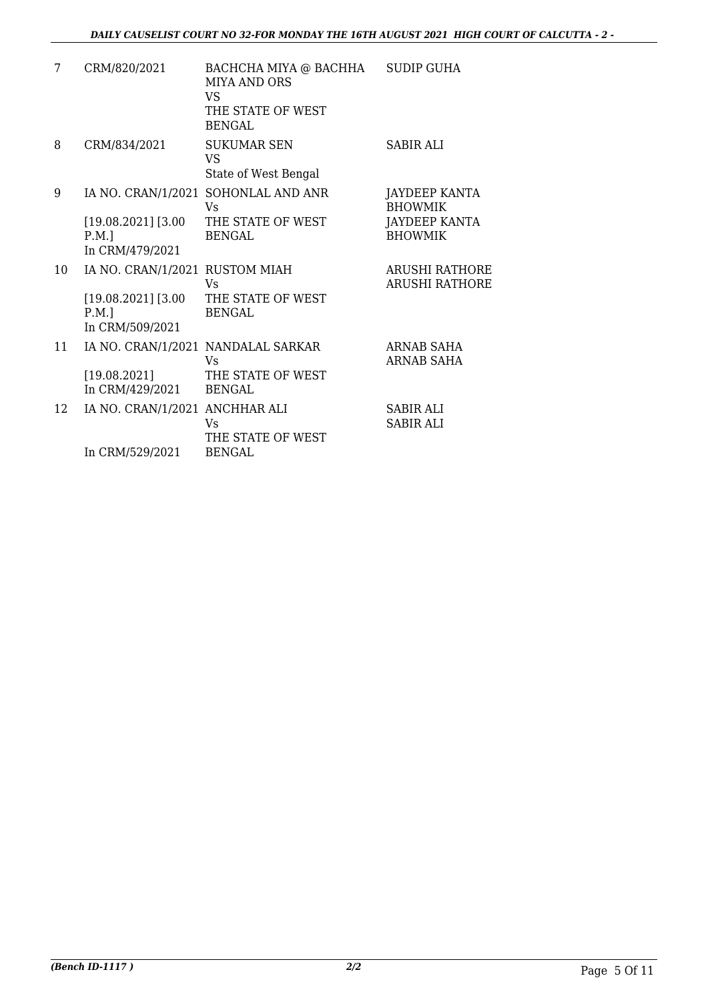| 7  | CRM/820/2021                                                                          | BACHCHA MIYA @ BACHHA<br><b>MIYA AND ORS</b><br><b>VS</b><br>THE STATE OF WEST<br><b>BENGAL</b> | <b>SUDIP GUHA</b>                                                  |
|----|---------------------------------------------------------------------------------------|-------------------------------------------------------------------------------------------------|--------------------------------------------------------------------|
| 8  | CRM/834/2021                                                                          | <b>SUKUMAR SEN</b><br>VS.<br>State of West Bengal                                               | SABIR ALI                                                          |
| 9  | $[19.08.2021]$ [3.00<br>$P.M.$ ]<br>In CRM/479/2021                                   | IA NO. CRAN/1/2021 SOHONLAL AND ANR<br>Vs.<br>THE STATE OF WEST<br><b>BENGAL</b>                | JAYDEEP KANTA<br><b>BHOWMIK</b><br>JAYDEEP KANTA<br><b>BHOWMIK</b> |
| 10 | IA NO. CRAN/1/2021 RUSTOM MIAH<br>$[19.08.2021]$ $[3.00]$<br>P.M.]<br>In CRM/509/2021 | Vs<br>THE STATE OF WEST<br><b>BENGAL</b>                                                        | <b>ARUSHI RATHORE</b><br><b>ARUSHI RATHORE</b>                     |
| 11 | [19.08.2021]<br>In CRM/429/2021                                                       | IA NO. CRAN/1/2021 NANDALAL SARKAR<br>Vs<br>THE STATE OF WEST<br><b>BENGAL</b>                  | ARNAB SAHA<br><b>ARNAB SAHA</b>                                    |
| 12 | IA NO. CRAN/1/2021 ANCHHAR ALI<br>In CRM/529/2021                                     | Vs<br>THE STATE OF WEST<br><b>BENGAL</b>                                                        | <b>SABIR ALI</b><br><b>SABIR ALI</b>                               |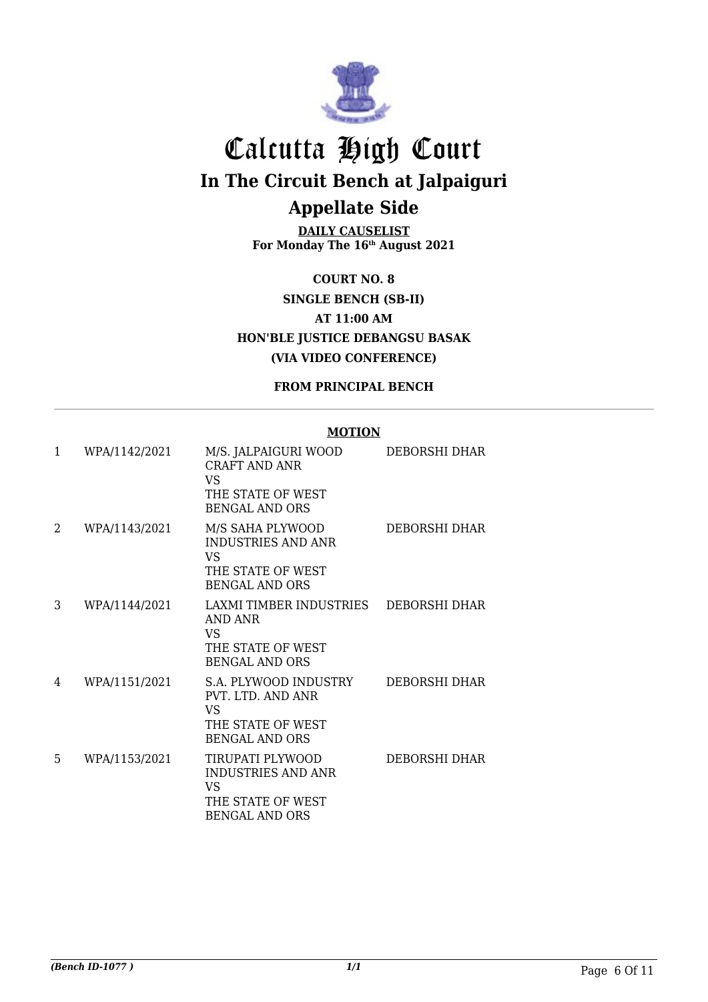

**DAILY CAUSELIST For Monday The 16th August 2021**

**COURT NO. 8 SINGLE BENCH (SB-II) AT 11:00 AM HON'BLE JUSTICE DEBANGSU BASAK (VIA VIDEO CONFERENCE)**

**FROM PRINCIPAL BENCH**

#### **MOTION**

| $\mathbf{1}$ | WPA/1142/2021 | M/S. JALPAIGURI WOOD<br><b>CRAFT AND ANR</b><br>VS.<br>THE STATE OF WEST<br><b>BENGAL AND ORS</b>     | DEBORSHI DHAR        |
|--------------|---------------|-------------------------------------------------------------------------------------------------------|----------------------|
| 2            | WPA/1143/2021 | M/S SAHA PLYWOOD<br><b>INDUSTRIES AND ANR</b><br>VS.<br>THE STATE OF WEST<br><b>BENGAL AND ORS</b>    | <b>DEBORSHI DHAR</b> |
| 3            | WPA/1144/2021 | LAXMI TIMBER INDUSTRIES<br>AND ANR<br><b>VS</b><br>THE STATE OF WEST<br><b>BENGAL AND ORS</b>         | DEBORSHI DHAR        |
| 4            | WPA/1151/2021 | S.A. PLYWOOD INDUSTRY<br>PVT. LTD. AND ANR<br><b>VS</b><br>THE STATE OF WEST<br><b>BENGAL AND ORS</b> | <b>DEBORSHI DHAR</b> |
| 5            | WPA/1153/2021 | TIRUPATI PLYWOOD<br><b>INDUSTRIES AND ANR</b><br>VS<br>THE STATE OF WEST<br><b>BENGAL AND ORS</b>     | DEBORSHI DHAR        |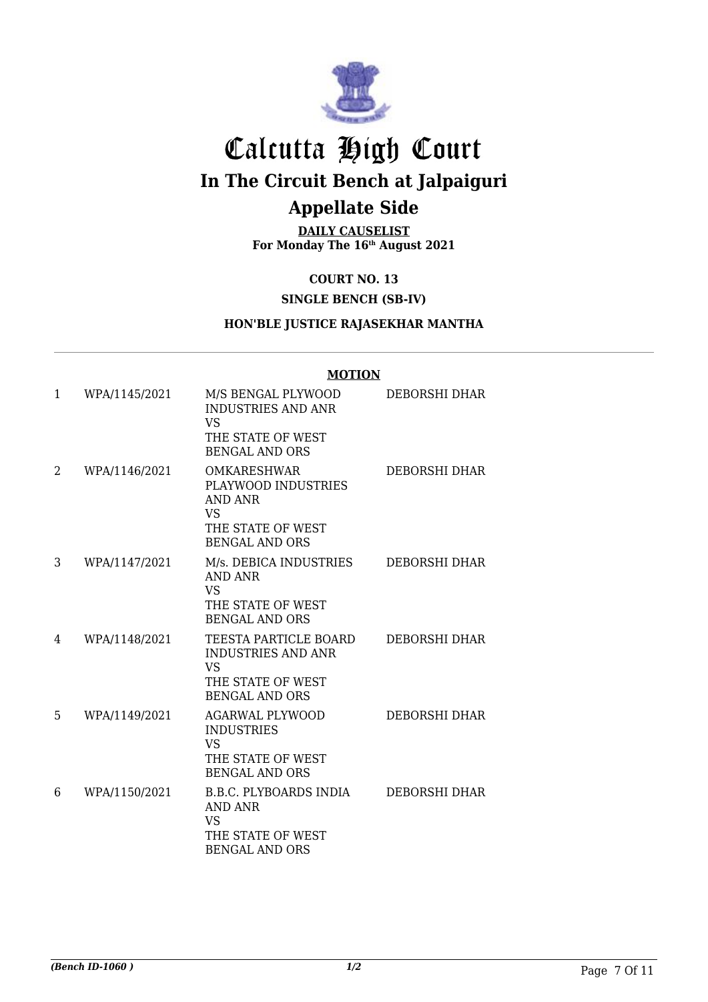

**DAILY CAUSELIST For Monday The 16th August 2021**

**COURT NO. 13**

### **SINGLE BENCH (SB-IV)**

### **HON'BLE JUSTICE RAJASEKHAR MANTHA**

|   |               | <b>MOTION</b>                                                                                                 |                      |
|---|---------------|---------------------------------------------------------------------------------------------------------------|----------------------|
| 1 | WPA/1145/2021 | M/S BENGAL PLYWOOD<br><b>INDUSTRIES AND ANR</b><br><b>VS</b><br>THE STATE OF WEST                             | DEBORSHI DHAR        |
|   |               | <b>BENGAL AND ORS</b>                                                                                         |                      |
| 2 | WPA/1146/2021 | <b>OMKARESHWAR</b><br>PLAYWOOD INDUSTRIES<br><b>AND ANR</b><br><b>VS</b>                                      | <b>DEBORSHI DHAR</b> |
|   |               | THE STATE OF WEST<br><b>BENGAL AND ORS</b>                                                                    |                      |
| 3 | WPA/1147/2021 | M/s. DEBICA INDUSTRIES<br>AND ANR<br><b>VS</b><br>THE STATE OF WEST<br><b>BENGAL AND ORS</b>                  | DEBORSHI DHAR        |
| 4 | WPA/1148/2021 | TEESTA PARTICLE BOARD<br><b>INDUSTRIES AND ANR</b><br><b>VS</b><br>THE STATE OF WEST<br><b>BENGAL AND ORS</b> | DEBORSHI DHAR        |
| 5 | WPA/1149/2021 | <b>AGARWAL PLYWOOD</b><br><b>INDUSTRIES</b><br><b>VS</b><br>THE STATE OF WEST<br><b>BENGAL AND ORS</b>        | <b>DEBORSHI DHAR</b> |
| 6 | WPA/1150/2021 | <b>B.B.C. PLYBOARDS INDIA</b><br>AND ANR<br><b>VS</b><br>THE STATE OF WEST<br><b>BENGAL AND ORS</b>           | <b>DEBORSHI DHAR</b> |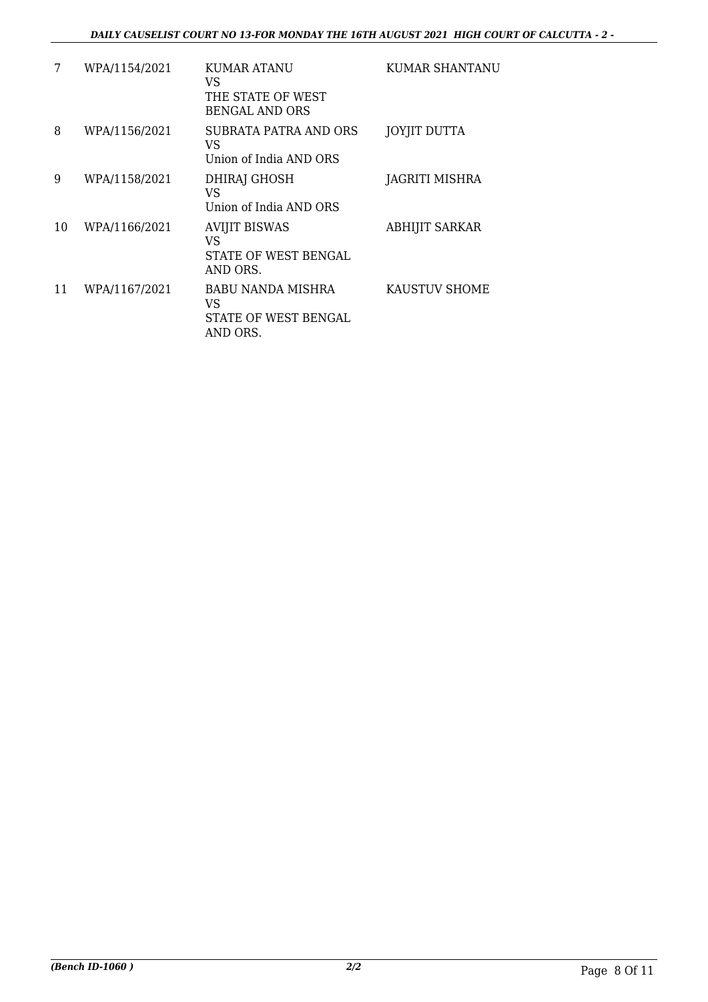| 7  | WPA/1154/2021 | KUMAR ATANU<br>VS<br>THE STATE OF WEST<br><b>BENGAL AND ORS</b> | KUMAR SHANTANU        |
|----|---------------|-----------------------------------------------------------------|-----------------------|
| 8  | WPA/1156/2021 | SUBRATA PATRA AND ORS<br>VS<br>Union of India AND ORS           | JOYJIT DUTTA          |
| 9  | WPA/1158/2021 | DHIRAJ GHOSH<br>VS<br>Union of India AND ORS                    | JAGRITI MISHRA        |
| 10 | WPA/1166/2021 | <b>AVIJIT BISWAS</b><br>VS<br>STATE OF WEST BENGAL<br>AND ORS.  | <b>ABHIJIT SARKAR</b> |
| 11 | WPA/1167/2021 | BABU NANDA MISHRA<br>VS<br>STATE OF WEST BENGAL<br>AND ORS.     | <b>KAUSTUV SHOME</b>  |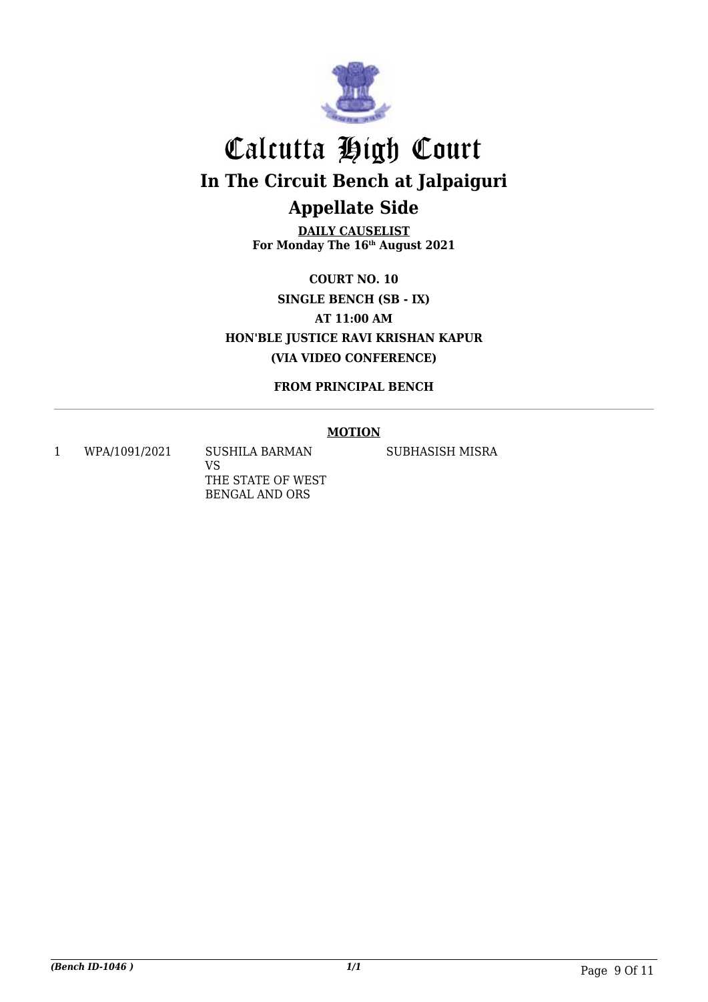

**DAILY CAUSELIST For Monday The 16th August 2021**

**COURT NO. 10 SINGLE BENCH (SB - IX) AT 11:00 AM HON'BLE JUSTICE RAVI KRISHAN KAPUR (VIA VIDEO CONFERENCE)**

**FROM PRINCIPAL BENCH**

### **MOTION**

1 WPA/1091/2021 SUSHILA BARMAN

VS THE STATE OF WEST BENGAL AND ORS

SUBHASISH MISRA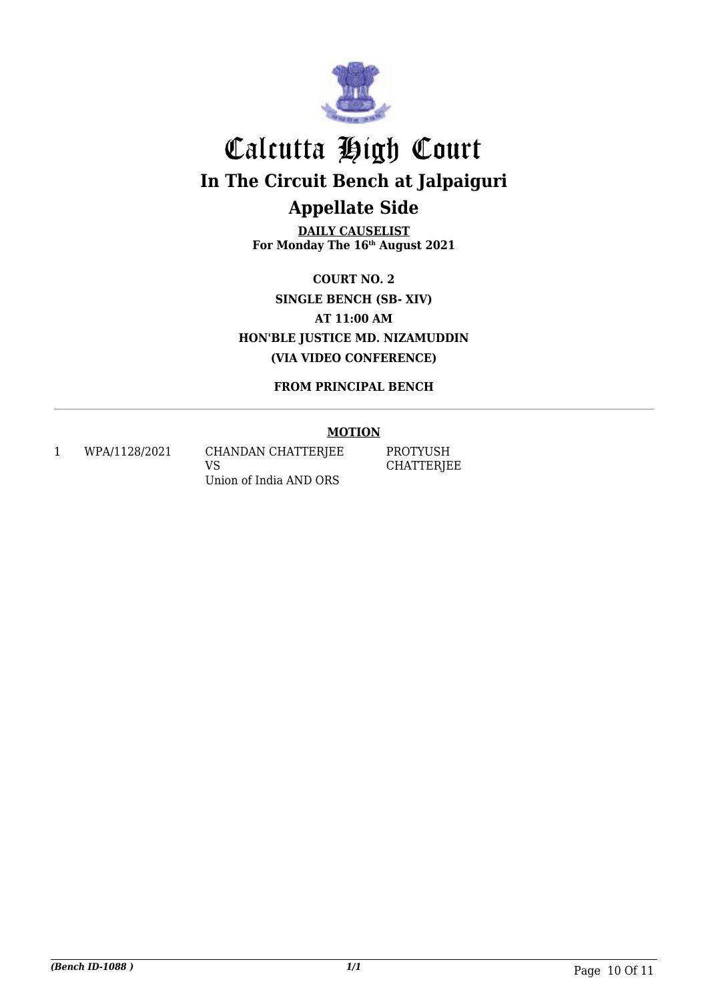

**DAILY CAUSELIST For Monday The 16th August 2021**

**COURT NO. 2 SINGLE BENCH (SB- XIV) AT 11:00 AM HON'BLE JUSTICE MD. NIZAMUDDIN (VIA VIDEO CONFERENCE)**

**FROM PRINCIPAL BENCH**

#### **MOTION**

1 WPA/1128/2021 CHANDAN CHATTERJEE VS Union of India AND ORS

PROTYUSH **CHATTERJEE**